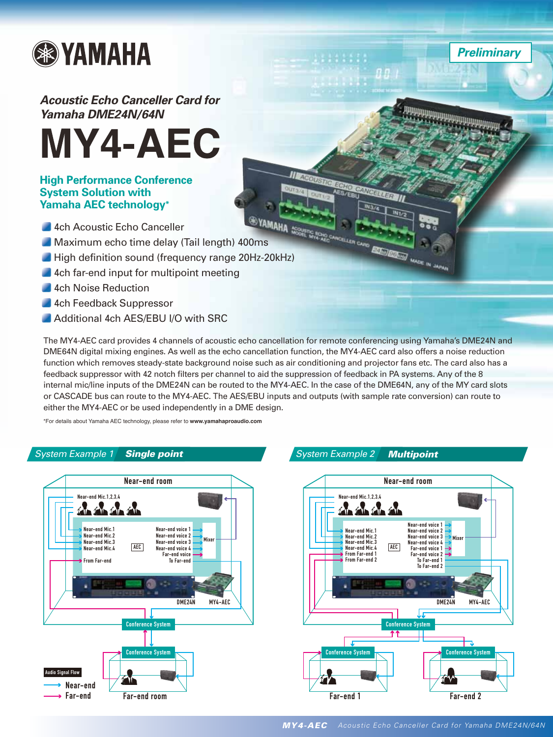

# *Acoustic Echo Canceller Card for Yamaha DME24N/64N*



#### **High Performance Conference System Solution with Yamaha AEC technology\***

- 4ch Acoustic Echo Canceller
- 
- Maximum echo time delay (Tail length) 400ms<br>Maximum echo time delay (Tail length) 400ms<br>Maximum echo time delay (Tail length) 400ms High definition sound (frequency range 20Hz-20kHz)
- 4ch far-end input for multipoint meeting
- 4ch Noise Reduction
- 4ch Feedback Suppressor
- Additional 4ch AES/EBU I/O with SRC

The MY4-AEC card provides 4 channels of acoustic echo cancellation for remote conferencing using Yamaha's DME24N and DME64N digital mixing engines. As well as the echo cancellation function, the MY4-AEC card also offers a noise reduction function which removes steady-state background noise such as air conditioning and projector fans etc. The card also has a feedback suppressor with 42 notch filters per channel to aid the suppression of feedback in PA systems. Any of the 8 internal mic/line inputs of the DME24N can be routed to the MY4-AEC. In the case of the DME64N, any of the MY card slots or CASCADE bus can route to the MY4-AEC. The AES/EBU inputs and outputs (with sample rate conversion) can route to either the MY4-AEC or be used independently in a DME design.

\*For details about Yamaha AEC technology, please refer to **www.yamahaproaudio.com**

#### *System Example 1 Single point System Example 2 Multipoint*





*Preliminary*

XMT

 $BB$ 

 $M32$